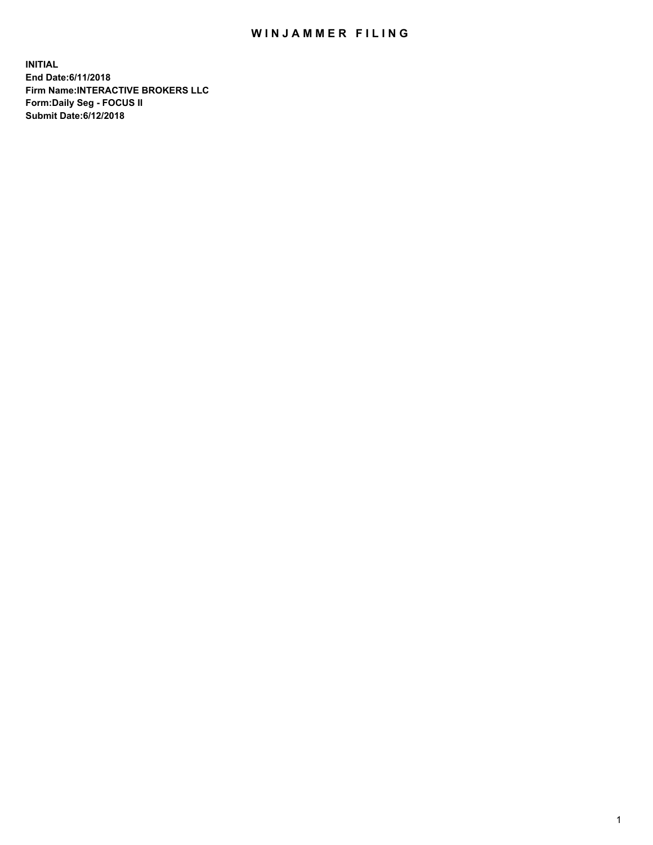## WIN JAMMER FILING

**INITIAL End Date:6/11/2018 Firm Name:INTERACTIVE BROKERS LLC Form:Daily Seg - FOCUS II Submit Date:6/12/2018**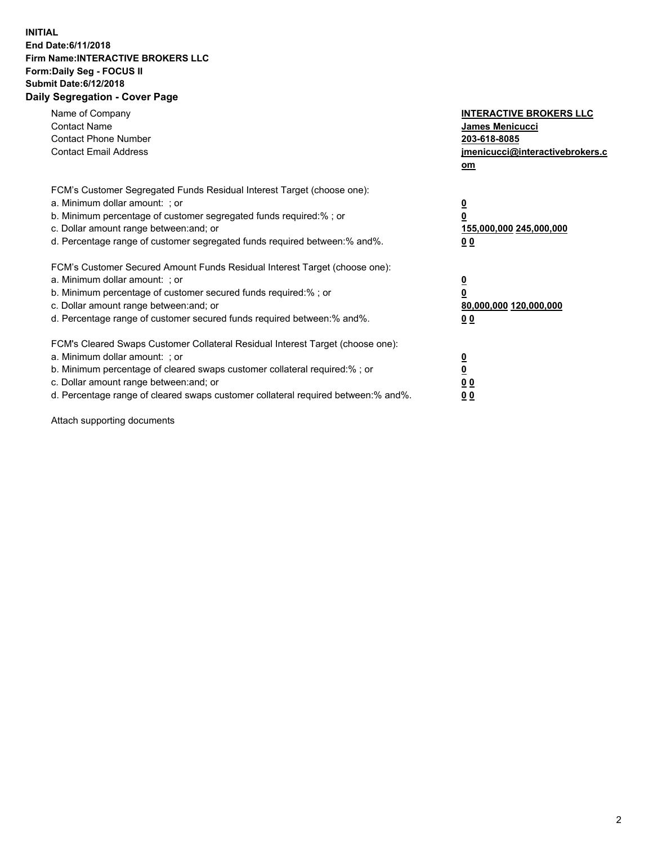## **INITIAL End Date:6/11/2018 Firm Name:INTERACTIVE BROKERS LLC Form:Daily Seg - FOCUS II Submit Date:6/12/2018 Daily Segregation - Cover Page**

| Name of Company<br><b>Contact Name</b><br><b>Contact Phone Number</b><br><b>Contact Email Address</b>                                                                                                                                                                                                                          | <b>INTERACTIVE BROKERS LLC</b><br><b>James Menicucci</b><br>203-618-8085<br>jmenicucci@interactivebrokers.c<br>om |
|--------------------------------------------------------------------------------------------------------------------------------------------------------------------------------------------------------------------------------------------------------------------------------------------------------------------------------|-------------------------------------------------------------------------------------------------------------------|
| FCM's Customer Segregated Funds Residual Interest Target (choose one):<br>a. Minimum dollar amount: ; or<br>b. Minimum percentage of customer segregated funds required:% ; or<br>c. Dollar amount range between: and; or<br>d. Percentage range of customer segregated funds required between: % and %.                       | $\overline{\mathbf{0}}$<br>0<br>155,000,000 245,000,000<br>00                                                     |
| FCM's Customer Secured Amount Funds Residual Interest Target (choose one):<br>a. Minimum dollar amount: ; or<br>b. Minimum percentage of customer secured funds required:%; or<br>c. Dollar amount range between: and; or<br>d. Percentage range of customer secured funds required between: % and %.                          | $\overline{\mathbf{0}}$<br>0<br>80,000,000 120,000,000<br>00                                                      |
| FCM's Cleared Swaps Customer Collateral Residual Interest Target (choose one):<br>a. Minimum dollar amount: ; or<br>b. Minimum percentage of cleared swaps customer collateral required:% ; or<br>c. Dollar amount range between: and; or<br>d. Percentage range of cleared swaps customer collateral required between:% and%. | $\overline{\mathbf{0}}$<br>$\overline{\mathbf{0}}$<br>00<br>0 <sub>0</sub>                                        |

Attach supporting documents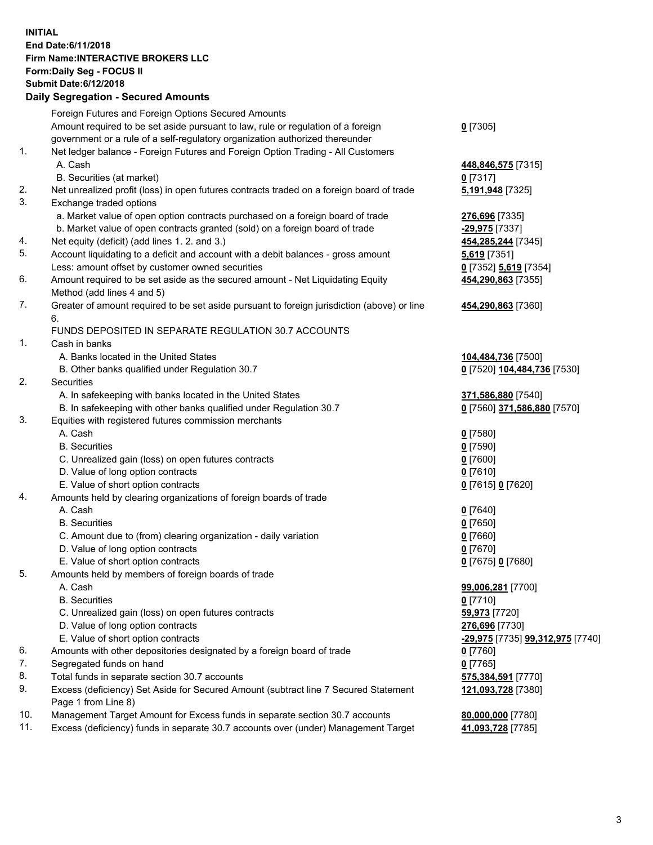## **INITIAL End Date:6/11/2018 Firm Name:INTERACTIVE BROKERS LLC Form:Daily Seg - FOCUS II Submit Date:6/12/2018 Daily Segregation - Secured Amounts**

|     | Daily Segregation - Secured Amounts                                                                        |                                  |
|-----|------------------------------------------------------------------------------------------------------------|----------------------------------|
|     | Foreign Futures and Foreign Options Secured Amounts                                                        |                                  |
|     | Amount required to be set aside pursuant to law, rule or regulation of a foreign                           | $0$ [7305]                       |
|     | government or a rule of a self-regulatory organization authorized thereunder                               |                                  |
| 1.  | Net ledger balance - Foreign Futures and Foreign Option Trading - All Customers                            |                                  |
|     | A. Cash                                                                                                    | 448,846,575 [7315]               |
|     | B. Securities (at market)                                                                                  | $0$ [7317]                       |
| 2.  | Net unrealized profit (loss) in open futures contracts traded on a foreign board of trade                  | 5,191,948 [7325]                 |
| 3.  | Exchange traded options                                                                                    |                                  |
|     | a. Market value of open option contracts purchased on a foreign board of trade                             | 276,696 [7335]                   |
|     | b. Market value of open contracts granted (sold) on a foreign board of trade                               | -29,975 [7337]                   |
| 4.  | Net equity (deficit) (add lines 1. 2. and 3.)                                                              | 454,285,244 [7345]               |
| 5.  | Account liquidating to a deficit and account with a debit balances - gross amount                          | <b>5,619</b> [7351]              |
|     | Less: amount offset by customer owned securities                                                           | 0 [7352] 5,619 [7354]            |
| 6.  | Amount required to be set aside as the secured amount - Net Liquidating Equity                             | 454,290,863 [7355]               |
|     | Method (add lines 4 and 5)                                                                                 |                                  |
| 7.  | Greater of amount required to be set aside pursuant to foreign jurisdiction (above) or line                | 454,290,863 [7360]               |
|     | 6.                                                                                                         |                                  |
|     | FUNDS DEPOSITED IN SEPARATE REGULATION 30.7 ACCOUNTS                                                       |                                  |
| 1.  | Cash in banks                                                                                              |                                  |
|     | A. Banks located in the United States                                                                      | 104,484,736 [7500]               |
|     | B. Other banks qualified under Regulation 30.7                                                             | 0 [7520] 104,484,736 [7530]      |
| 2.  | <b>Securities</b>                                                                                          |                                  |
|     | A. In safekeeping with banks located in the United States                                                  | 371,586,880 [7540]               |
|     | B. In safekeeping with other banks qualified under Regulation 30.7                                         | 0 [7560] 371,586,880 [7570]      |
| 3.  | Equities with registered futures commission merchants                                                      |                                  |
|     | A. Cash                                                                                                    | $0$ [7580]                       |
|     | <b>B.</b> Securities                                                                                       | $0$ [7590]                       |
|     | C. Unrealized gain (loss) on open futures contracts                                                        | $0$ [7600]                       |
|     | D. Value of long option contracts                                                                          | $0$ [7610]                       |
|     | E. Value of short option contracts                                                                         | 0 [7615] 0 [7620]                |
| 4.  | Amounts held by clearing organizations of foreign boards of trade                                          |                                  |
|     | A. Cash                                                                                                    | $0$ [7640]                       |
|     | <b>B.</b> Securities                                                                                       | $0$ [7650]                       |
|     | C. Amount due to (from) clearing organization - daily variation                                            | $0$ [7660]                       |
|     | D. Value of long option contracts                                                                          | $0$ [7670]                       |
|     | E. Value of short option contracts                                                                         | 0 [7675] 0 [7680]                |
| 5.  | Amounts held by members of foreign boards of trade                                                         |                                  |
|     | A. Cash                                                                                                    | 99,006,281 [7700]                |
|     | <b>B.</b> Securities                                                                                       | $0$ [7710]                       |
|     | C. Unrealized gain (loss) on open futures contracts                                                        | 59,973 [7720]                    |
|     | D. Value of long option contracts                                                                          | 276,696 [7730]                   |
|     | E. Value of short option contracts                                                                         | -29,975 [7735] 99,312,975 [7740] |
| 6.  | Amounts with other depositories designated by a foreign board of trade                                     | 0 [7760]                         |
| 7.  | Segregated funds on hand                                                                                   | $0$ [7765]                       |
| 8.  | Total funds in separate section 30.7 accounts                                                              | 575,384,591 [7770]               |
| 9.  | Excess (deficiency) Set Aside for Secured Amount (subtract line 7 Secured Statement<br>Page 1 from Line 8) | 121,093,728 [7380]               |
| 10. | Management Target Amount for Excess funds in separate section 30.7 accounts                                | 80,000,000 [7780]                |
| 11. | Excess (deficiency) funds in separate 30.7 accounts over (under) Management Target                         | 41,093,728 [7785]                |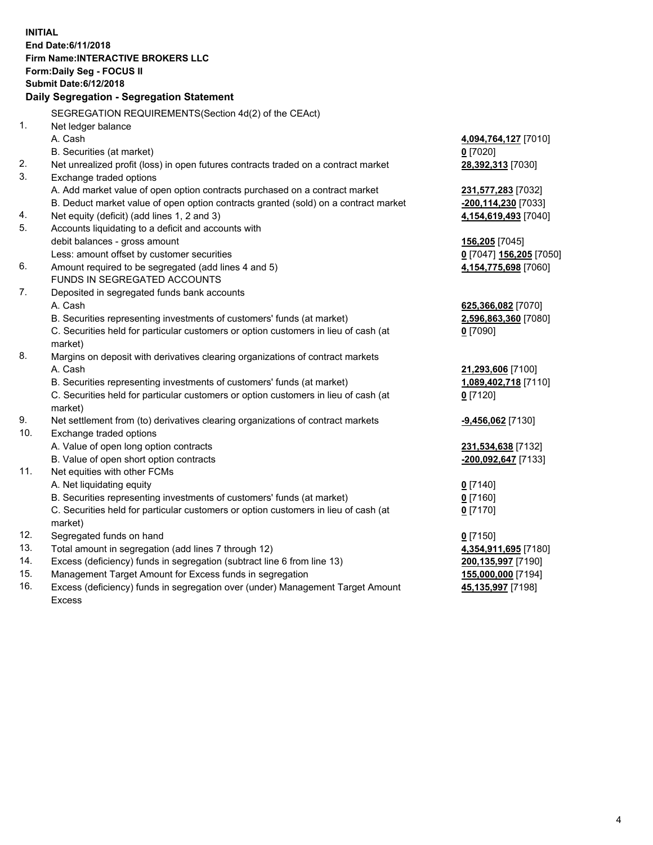**INITIAL End Date:6/11/2018 Firm Name:INTERACTIVE BROKERS LLC Form:Daily Seg - FOCUS II Submit Date:6/12/2018 Daily Segregation - Segregation Statement** SEGREGATION REQUIREMENTS(Section 4d(2) of the CEAct) 1. Net ledger balance A. Cash **4,094,764,127** [7010] B. Securities (at market) **0** [7020] 2. Net unrealized profit (loss) in open futures contracts traded on a contract market **28,392,313** [7030] 3. Exchange traded options A. Add market value of open option contracts purchased on a contract market **231,577,283** [7032] B. Deduct market value of open option contracts granted (sold) on a contract market **-200,114,230** [7033] 4. Net equity (deficit) (add lines 1, 2 and 3) **4,154,619,493** [7040] 5. Accounts liquidating to a deficit and accounts with debit balances - gross amount **156,205** [7045] Less: amount offset by customer securities **0** [7047] **156,205** [7050] 6. Amount required to be segregated (add lines 4 and 5) **4,154,775,698** [7060] FUNDS IN SEGREGATED ACCOUNTS 7. Deposited in segregated funds bank accounts A. Cash **625,366,082** [7070] B. Securities representing investments of customers' funds (at market) **2,596,863,360** [7080] C. Securities held for particular customers or option customers in lieu of cash (at market) **0** [7090] 8. Margins on deposit with derivatives clearing organizations of contract markets A. Cash **21,293,606** [7100] B. Securities representing investments of customers' funds (at market) **1,089,402,718** [7110] C. Securities held for particular customers or option customers in lieu of cash (at market) **0** [7120] 9. Net settlement from (to) derivatives clearing organizations of contract markets **-9,456,062** [7130] 10. Exchange traded options A. Value of open long option contracts **231,534,638** [7132] B. Value of open short option contracts **-200,092,647** [7133] 11. Net equities with other FCMs A. Net liquidating equity **0** [7140] B. Securities representing investments of customers' funds (at market) **0** [7160] C. Securities held for particular customers or option customers in lieu of cash (at market) **0** [7170] 12. Segregated funds on hand **0** [7150] 13. Total amount in segregation (add lines 7 through 12) **4,354,911,695** [7180] 14. Excess (deficiency) funds in segregation (subtract line 6 from line 13) **200,135,997** [7190] 15. Management Target Amount for Excess funds in segregation **155,000,000** [7194]

16. Excess (deficiency) funds in segregation over (under) Management Target Amount Excess

**45,135,997** [7198]